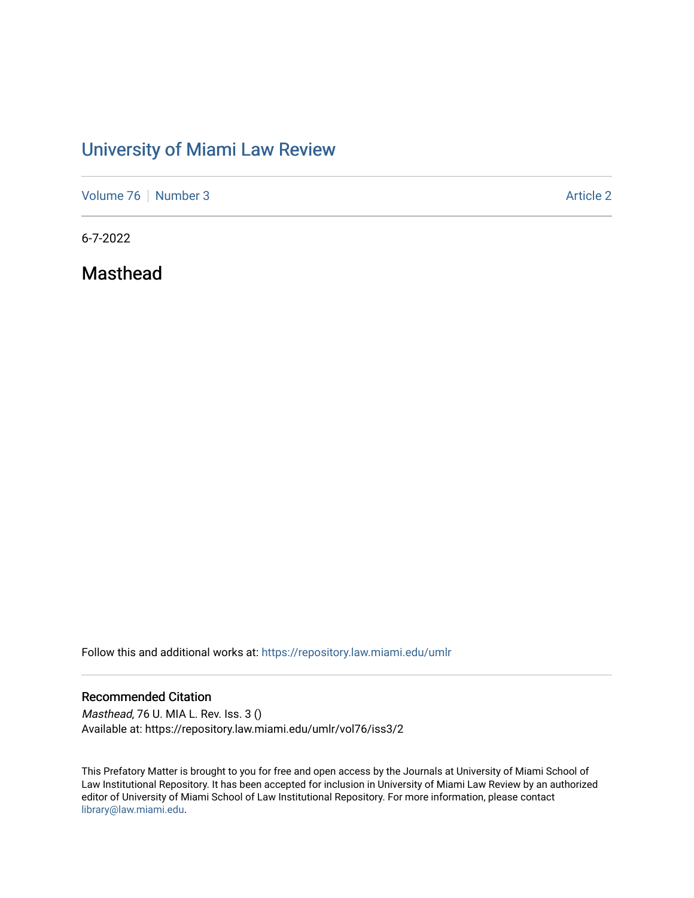## [University of Miami Law Review](https://repository.law.miami.edu/umlr)

[Volume 76](https://repository.law.miami.edu/umlr/vol76) [Number 3](https://repository.law.miami.edu/umlr/vol76/iss3) Article 2

6-7-2022

Masthead

Follow this and additional works at: [https://repository.law.miami.edu/umlr](https://repository.law.miami.edu/umlr?utm_source=repository.law.miami.edu%2Fumlr%2Fvol76%2Fiss3%2F2&utm_medium=PDF&utm_campaign=PDFCoverPages)

## Recommended Citation

Masthead, 76 U. MIA L. Rev. Iss. 3 () Available at: https://repository.law.miami.edu/umlr/vol76/iss3/2

This Prefatory Matter is brought to you for free and open access by the Journals at University of Miami School of Law Institutional Repository. It has been accepted for inclusion in University of Miami Law Review by an authorized editor of University of Miami School of Law Institutional Repository. For more information, please contact [library@law.miami.edu.](mailto:library@law.miami.edu)